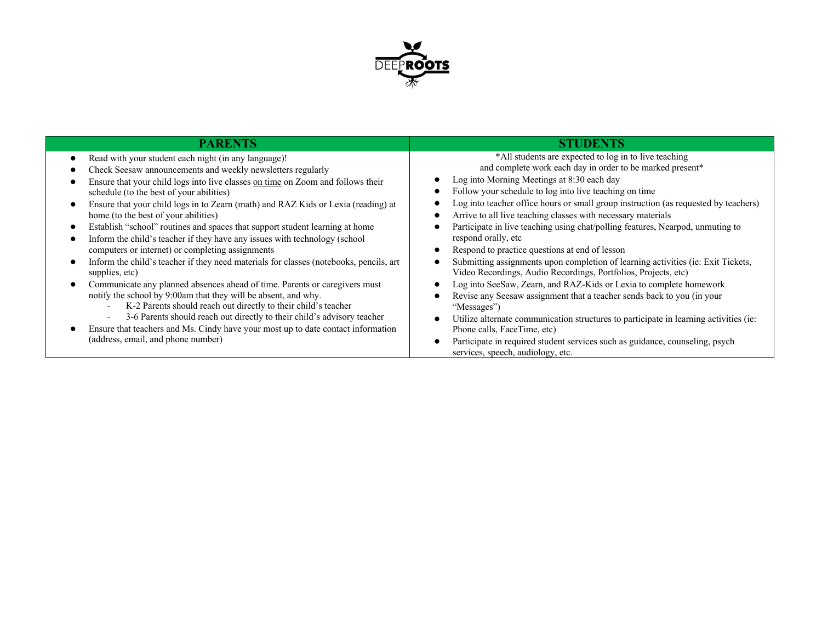

| PARENTS                                                                                | <b>STUDENTS</b>                                                                       |  |
|----------------------------------------------------------------------------------------|---------------------------------------------------------------------------------------|--|
| Read with your student each night (in any language)!                                   | *All students are expected to log in to live teaching                                 |  |
| Check Seesaw announcements and weekly newsletters regularly                            | and complete work each day in order to be marked present*                             |  |
| Ensure that your child logs into live classes on time on Zoom and follows their        | Log into Morning Meetings at 8:30 each day                                            |  |
| schedule (to the best of your abilities)                                               | Follow your schedule to log into live teaching on time                                |  |
| Ensure that your child logs in to Zearn (math) and RAZ Kids or Lexia (reading) at      | Log into teacher office hours or small group instruction (as requested by teachers)   |  |
| home (to the best of your abilities)                                                   | Arrive to all live teaching classes with necessary materials                          |  |
| Establish "school" routines and spaces that support student learning at home           | Participate in live teaching using chat/polling features, Nearpod, unmuting to        |  |
| Inform the child's teacher if they have any issues with technology (school             | respond orally, etc                                                                   |  |
| computers or internet) or completing assignments                                       | Respond to practice questions at end of lesson                                        |  |
| Inform the child's teacher if they need materials for classes (notebooks, pencils, art | Submitting assignments upon completion of learning activities (ie: Exit Tickets,      |  |
| supplies, etc)                                                                         | Video Recordings, Audio Recordings, Portfolios, Projects, etc)                        |  |
| Communicate any planned absences ahead of time. Parents or caregivers must             | Log into SeeSaw, Zearn, and RAZ-Kids or Lexia to complete homework                    |  |
| notify the school by 9:00am that they will be absent, and why.                         | Revise any Seesaw assignment that a teacher sends back to you (in your                |  |
| K-2 Parents should reach out directly to their child's teacher                         | "Messages")                                                                           |  |
| 3-6 Parents should reach out directly to their child's advisory teacher                | Utilize alternate communication structures to participate in learning activities (ie: |  |
| Ensure that teachers and Ms. Cindy have your most up to date contact information       | Phone calls, FaceTime, etc)                                                           |  |
| (address, email, and phone number)                                                     | Participate in required student services such as guidance, counseling, psych          |  |
|                                                                                        | services, speech, audiology, etc.                                                     |  |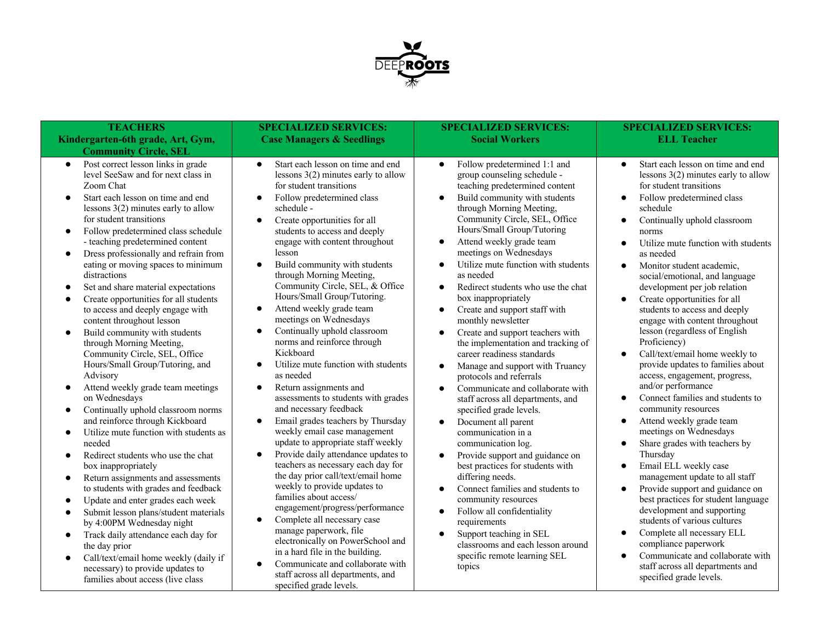

| <b>TEACHERS</b>                                                                                                                                                                                                                                                                                                                                                                                                                                                                                                                                                                                                                                                                                                                                                                                                                                                                                                                                                                                                                                                                                                                                                                                                                                                                                                                                                                      | <b>SPECIALIZED SERVICES:</b>                                                                                                                                                                                                                                                                                                                                                                                                                                                                                                                                                                                                                                                                                                                                                                                                                                                                                                                                                                                                                                                                                                                                                                                                                                                                                                                                                                               | <b>SPECIALIZED SERVICES:</b><br><b>Social Workers</b>                                                                                                                                                                                                                                                                                                                                                                                                                                                                                                                                                                                                                                                                                                                                                                                                                                                                                                                                                                                                                                                                                                                                                                                                                                                    | <b>SPECIALIZED SERVICES:</b><br><b>ELL Teacher</b>                                                                                                                                                                                                                                                                                                                                                                                                                                                                                                                                                                                                                                                                                                                                                                                                                                                                                                                                                                                                                                                                                                                                                          |
|--------------------------------------------------------------------------------------------------------------------------------------------------------------------------------------------------------------------------------------------------------------------------------------------------------------------------------------------------------------------------------------------------------------------------------------------------------------------------------------------------------------------------------------------------------------------------------------------------------------------------------------------------------------------------------------------------------------------------------------------------------------------------------------------------------------------------------------------------------------------------------------------------------------------------------------------------------------------------------------------------------------------------------------------------------------------------------------------------------------------------------------------------------------------------------------------------------------------------------------------------------------------------------------------------------------------------------------------------------------------------------------|------------------------------------------------------------------------------------------------------------------------------------------------------------------------------------------------------------------------------------------------------------------------------------------------------------------------------------------------------------------------------------------------------------------------------------------------------------------------------------------------------------------------------------------------------------------------------------------------------------------------------------------------------------------------------------------------------------------------------------------------------------------------------------------------------------------------------------------------------------------------------------------------------------------------------------------------------------------------------------------------------------------------------------------------------------------------------------------------------------------------------------------------------------------------------------------------------------------------------------------------------------------------------------------------------------------------------------------------------------------------------------------------------------|----------------------------------------------------------------------------------------------------------------------------------------------------------------------------------------------------------------------------------------------------------------------------------------------------------------------------------------------------------------------------------------------------------------------------------------------------------------------------------------------------------------------------------------------------------------------------------------------------------------------------------------------------------------------------------------------------------------------------------------------------------------------------------------------------------------------------------------------------------------------------------------------------------------------------------------------------------------------------------------------------------------------------------------------------------------------------------------------------------------------------------------------------------------------------------------------------------------------------------------------------------------------------------------------------------|-------------------------------------------------------------------------------------------------------------------------------------------------------------------------------------------------------------------------------------------------------------------------------------------------------------------------------------------------------------------------------------------------------------------------------------------------------------------------------------------------------------------------------------------------------------------------------------------------------------------------------------------------------------------------------------------------------------------------------------------------------------------------------------------------------------------------------------------------------------------------------------------------------------------------------------------------------------------------------------------------------------------------------------------------------------------------------------------------------------------------------------------------------------------------------------------------------------|
| Kindergarten-6th grade, Art, Gym,<br><b>Community Circle, SEL</b>                                                                                                                                                                                                                                                                                                                                                                                                                                                                                                                                                                                                                                                                                                                                                                                                                                                                                                                                                                                                                                                                                                                                                                                                                                                                                                                    | <b>Case Managers &amp; Seedlings</b>                                                                                                                                                                                                                                                                                                                                                                                                                                                                                                                                                                                                                                                                                                                                                                                                                                                                                                                                                                                                                                                                                                                                                                                                                                                                                                                                                                       |                                                                                                                                                                                                                                                                                                                                                                                                                                                                                                                                                                                                                                                                                                                                                                                                                                                                                                                                                                                                                                                                                                                                                                                                                                                                                                          |                                                                                                                                                                                                                                                                                                                                                                                                                                                                                                                                                                                                                                                                                                                                                                                                                                                                                                                                                                                                                                                                                                                                                                                                             |
| Post correct lesson links in grade<br>$\bullet$<br>level SeeSaw and for next class in<br>Zoom Chat<br>Start each lesson on time and end<br>lessons $3(2)$ minutes early to allow<br>for student transitions<br>Follow predetermined class schedule<br>- teaching predetermined content<br>Dress professionally and refrain from<br>$\bullet$<br>eating or moving spaces to minimum<br>distractions<br>Set and share material expectations<br>Create opportunities for all students<br>$\bullet$<br>to access and deeply engage with<br>content throughout lesson<br>Build community with students<br>through Morning Meeting,<br>Community Circle, SEL, Office<br>Hours/Small Group/Tutoring, and<br>Advisory<br>Attend weekly grade team meetings<br>on Wednesdays<br>Continually uphold classroom norms<br>and reinforce through Kickboard<br>Utilize mute function with students as<br>needed<br>Redirect students who use the chat<br>$\bullet$<br>box inappropriately<br>Return assignments and assessments<br>$\bullet$<br>to students with grades and feedback<br>Update and enter grades each week<br>Submit lesson plans/student materials<br>by 4:00PM Wednesday night<br>Track daily attendance each day for<br>$\bullet$<br>the day prior<br>Call/text/email home weekly (daily if<br>$\bullet$<br>necessary) to provide updates to<br>families about access (live class | Start each lesson on time and end<br>$\bullet$<br>lessons $3(2)$ minutes early to allow<br>for student transitions<br>Follow predetermined class<br>$\bullet$<br>schedule -<br>Create opportunities for all<br>$\bullet$<br>students to access and deeply<br>engage with content throughout<br>lesson<br>Build community with students<br>$\bullet$<br>through Morning Meeting,<br>Community Circle, SEL, & Office<br>Hours/Small Group/Tutoring.<br>Attend weekly grade team<br>$\bullet$<br>meetings on Wednesdays<br>Continually uphold classroom<br>$\bullet$<br>norms and reinforce through<br>Kickboard<br>Utilize mute function with students<br>$\bullet$<br>as needed<br>Return assignments and<br>$\bullet$<br>assessments to students with grades<br>and necessary feedback<br>Email grades teachers by Thursday<br>$\bullet$<br>weekly email case management<br>update to appropriate staff weekly<br>Provide daily attendance updates to<br>$\bullet$<br>teachers as necessary each day for<br>the day prior call/text/email home<br>weekly to provide updates to<br>families about access/<br>engagement/progress/performance<br>Complete all necessary case<br>$\bullet$<br>manage paperwork, file<br>electronically on PowerSchool and<br>in a hard file in the building.<br>Communicate and collaborate with<br>$\bullet$<br>staff across all departments, and<br>specified grade levels. | Follow predetermined 1:1 and<br>$\bullet$<br>group counseling schedule -<br>teaching predetermined content<br>Build community with students<br>$\bullet$<br>through Morning Meeting,<br>Community Circle, SEL, Office<br>Hours/Small Group/Tutoring<br>Attend weekly grade team<br>$\bullet$<br>meetings on Wednesdays<br>Utilize mute function with students<br>$\bullet$<br>as needed<br>Redirect students who use the chat<br>$\bullet$<br>box inappropriately<br>Create and support staff with<br>$\bullet$<br>monthly newsletter<br>Create and support teachers with<br>$\bullet$<br>the implementation and tracking of<br>career readiness standards<br>Manage and support with Truancy<br>$\bullet$<br>protocols and referrals<br>Communicate and collaborate with<br>$\bullet$<br>staff across all departments, and<br>specified grade levels.<br>Document all parent<br>$\bullet$<br>communication in a<br>communication log.<br>Provide support and guidance on<br>$\bullet$<br>best practices for students with<br>differing needs.<br>Connect families and students to<br>$\bullet$<br>community resources<br>Follow all confidentiality<br>$\bullet$<br>requirements<br>Support teaching in SEL<br>$\bullet$<br>classrooms and each lesson around<br>specific remote learning SEL<br>topics | Start each lesson on time and end<br>$\bullet$<br>lessons $3(2)$ minutes early to allow<br>for student transitions<br>Follow predetermined class<br>schedule<br>Continually uphold classroom<br>$\bullet$<br>norms<br>Utilize mute function with students<br>as needed<br>Monitor student academic,<br>$\bullet$<br>social/emotional, and language<br>development per job relation<br>Create opportunities for all<br>students to access and deeply<br>engage with content throughout<br>lesson (regardless of English<br>Proficiency)<br>Call/text/email home weekly to<br>$\bullet$<br>provide updates to families about<br>access, engagement, progress,<br>and/or performance<br>Connect families and students to<br>community resources<br>Attend weekly grade team<br>meetings on Wednesdays<br>Share grades with teachers by<br>Thursday<br>Email ELL weekly case<br>management update to all staff<br>Provide support and guidance on<br>best practices for student language<br>development and supporting<br>students of various cultures<br>Complete all necessary ELL<br>compliance paperwork<br>Communicate and collaborate with<br>staff across all departments and<br>specified grade levels. |